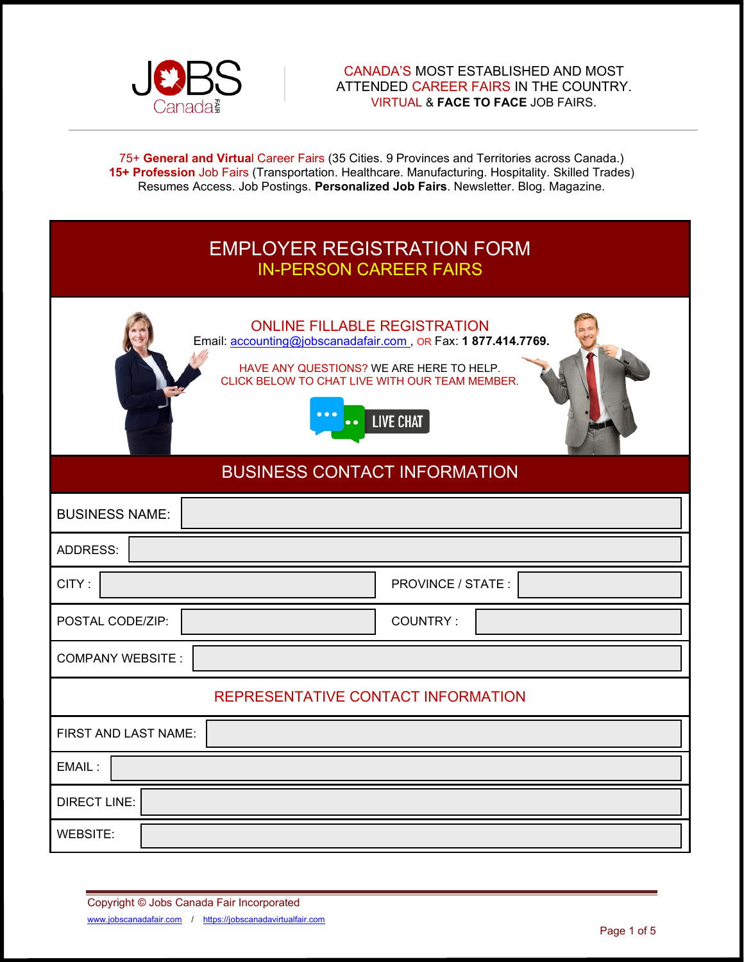

#### CANADA'S MOST ESTABLISHED AND MOST ATTENDED CAREER FAIRS IN THE COUNTRY. VIRTUAL & **FACE TO FACE** JOB FAIRS.

75+ **General and Virtua**l Career Fairs (35 Cities. 9 Provinces and Territories across Canada.) **15+ Profession** Job Fairs (Transportation. Healthcare. Manufacturing. Hospitality. Skilled Trades) Resumes Access. Job Postings. **Personalized Job Fairs**. Newsletter. Blog. Magazine.

# EMPLOYER REGISTRATION FORM IN-PERSON CAREER FAIRS



## BUSINESS CONTACT INFORMATION

| <b>BUSINESS NAME:</b>              |                    |  |  |
|------------------------------------|--------------------|--|--|
| ADDRESS:                           |                    |  |  |
| CITY:                              | PROVINCE / STATE : |  |  |
| POSTAL CODE/ZIP:                   | COUNTRY:           |  |  |
| <b>COMPANY WEBSITE:</b>            |                    |  |  |
| REPRESENTATIVE CONTACT INFORMATION |                    |  |  |
| FIRST AND LAST NAME:               |                    |  |  |
| EMAIL:                             |                    |  |  |
| <b>DIRECT LINE:</b>                |                    |  |  |
| <b>WEBSITE:</b>                    |                    |  |  |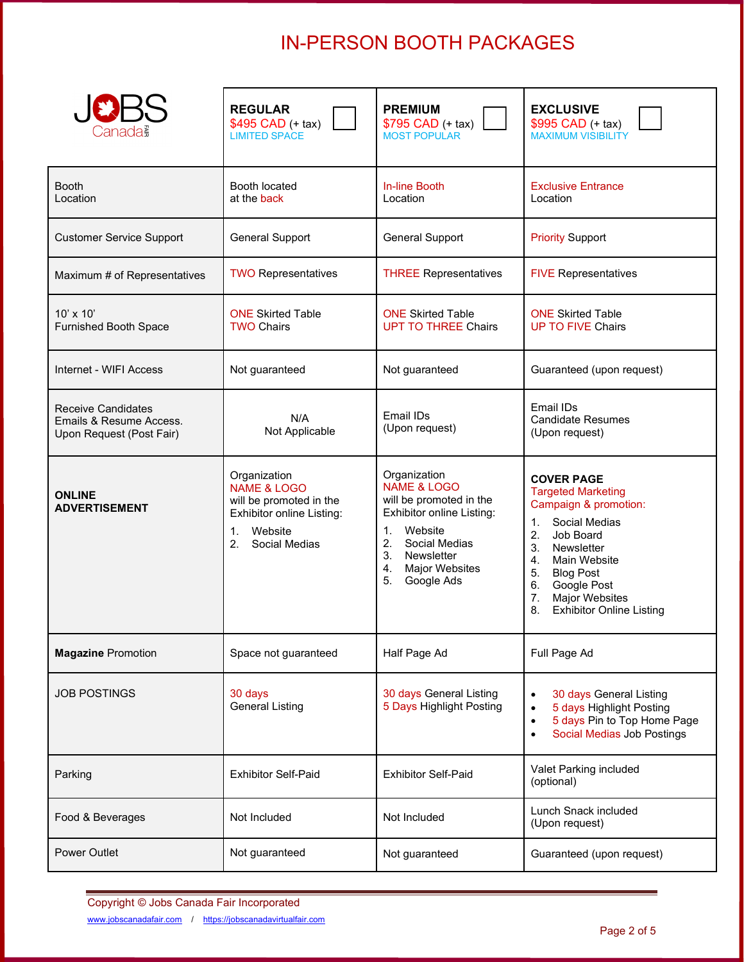# IN-PERSON BOOTH PACKAGES

| Canada≩                                                                          | <b>REGULAR</b><br>\$495 CAD (+ tax)<br><b>LIMITED SPACE</b>                                                                                             | <b>PREMIUM</b><br>\$795 CAD (+ tax)<br><b>MOST POPULAR</b>                                                                                                                                                    | <b>EXCLUSIVE</b><br>\$995 CAD (+ tax)<br><b>MAXIMUM VISIBILITY</b>                                                                                                                                                                                              |
|----------------------------------------------------------------------------------|---------------------------------------------------------------------------------------------------------------------------------------------------------|---------------------------------------------------------------------------------------------------------------------------------------------------------------------------------------------------------------|-----------------------------------------------------------------------------------------------------------------------------------------------------------------------------------------------------------------------------------------------------------------|
| <b>Booth</b><br>Location                                                         | Booth located<br>at the back                                                                                                                            | <b>In-line Booth</b><br>Location                                                                                                                                                                              | <b>Exclusive Entrance</b><br>Location                                                                                                                                                                                                                           |
| <b>Customer Service Support</b>                                                  | <b>General Support</b>                                                                                                                                  | <b>General Support</b>                                                                                                                                                                                        | <b>Priority Support</b>                                                                                                                                                                                                                                         |
| Maximum # of Representatives                                                     | <b>TWO Representatives</b>                                                                                                                              | <b>THREE Representatives</b>                                                                                                                                                                                  | <b>FIVE Representatives</b>                                                                                                                                                                                                                                     |
| $10' \times 10'$<br><b>Furnished Booth Space</b>                                 | <b>ONE Skirted Table</b><br><b>TWO Chairs</b>                                                                                                           | <b>ONE Skirted Table</b><br><b>UPT TO THREE Chairs</b>                                                                                                                                                        | <b>ONE Skirted Table</b><br><b>UP TO FIVE Chairs</b>                                                                                                                                                                                                            |
| Internet - WIFI Access                                                           | Not guaranteed                                                                                                                                          | Not guaranteed                                                                                                                                                                                                | Guaranteed (upon request)                                                                                                                                                                                                                                       |
| <b>Receive Candidates</b><br>Emails & Resume Access.<br>Upon Request (Post Fair) | N/A<br>Not Applicable                                                                                                                                   | Fmail IDs<br>(Upon request)                                                                                                                                                                                   | Email IDs<br><b>Candidate Resumes</b><br>(Upon request)                                                                                                                                                                                                         |
| <b>ONLINE</b><br><b>ADVERTISEMENT</b>                                            | Organization<br><b>NAME &amp; LOGO</b><br>will be promoted in the<br>Exhibitor online Listing:<br>$1_{-}$<br>Website<br>2 <sub>1</sub><br>Social Medias | Organization<br><b>NAME &amp; LOGO</b><br>will be promoted in the<br>Exhibitor online Listing:<br>Website<br>1.<br>2.<br>Social Medias<br>3.<br>Newsletter<br><b>Major Websites</b><br>4.<br>5.<br>Google Ads | <b>COVER PAGE</b><br><b>Targeted Marketing</b><br>Campaign & promotion:<br>Social Medias<br>1.<br>2. Job Board<br>3. Newsletter<br>4. Main Website<br>5. Blog Post<br>6.<br>Google Post<br><b>Major Websites</b><br>7.<br>8.<br><b>Exhibitor Online Listing</b> |
| <b>Magazine Promotion</b>                                                        | Space not guaranteed                                                                                                                                    | Half Page Ad                                                                                                                                                                                                  | Full Page Ad                                                                                                                                                                                                                                                    |
| <b>JOB POSTINGS</b>                                                              | 30 days<br><b>General Listing</b>                                                                                                                       | 30 days General Listing<br>5 Days Highlight Posting                                                                                                                                                           | 30 days General Listing<br>$\bullet$<br>5 days Highlight Posting<br>$\bullet$<br>5 days Pin to Top Home Page<br>$\bullet$<br><b>Social Medias Job Postings</b><br>$\bullet$                                                                                     |
| Parking                                                                          | <b>Exhibitor Self-Paid</b>                                                                                                                              | <b>Exhibitor Self-Paid</b>                                                                                                                                                                                    | Valet Parking included<br>(optional)                                                                                                                                                                                                                            |
| Food & Beverages                                                                 | Not Included                                                                                                                                            | Not Included                                                                                                                                                                                                  | Lunch Snack included<br>(Upon request)                                                                                                                                                                                                                          |
| Power Outlet                                                                     | Not guaranteed                                                                                                                                          | Not guaranteed                                                                                                                                                                                                | Guaranteed (upon request)                                                                                                                                                                                                                                       |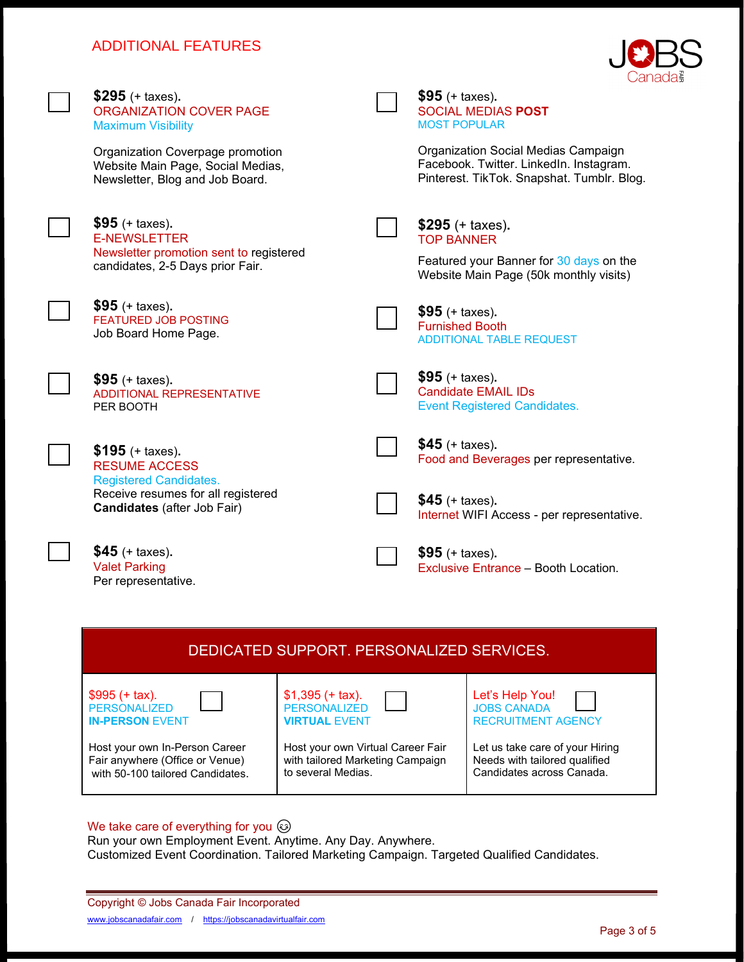## ADDITIONAL FEATURES



| DEDICATED SUPPORT, PERSONALIZED SERVICES. |                                   |                                 |
|-------------------------------------------|-----------------------------------|---------------------------------|
| $$995 (+ tax).$                           | $$1,395 (+ tax).$                 | Let's Help You!                 |
| <b>PERSONALIZED</b>                       | <b>PERSONALIZED</b>               | <b>JOBS CANADA</b>              |
| <b>IN-PERSON EVENT</b>                    | <b>VIRTUAL EVENT</b>              | <b>RECRUITMENT AGENCY</b>       |
| Host your own In-Person Career            | Host your own Virtual Career Fair | Let us take care of your Hiring |
| Fair anywhere (Office or Venue)           | with tailored Marketing Campaign  | Needs with tailored qualified   |
| with 50-100 tailored Candidates.          | to several Medias.                | Candidates across Canada.       |

#### We take care of everything for you  $\circled{e}$

Run your own Employment Event. Anytime. Any Day. Anywhere. Customized Event Coordination. Tailored Marketing Campaign. Targeted Qualified Candidates.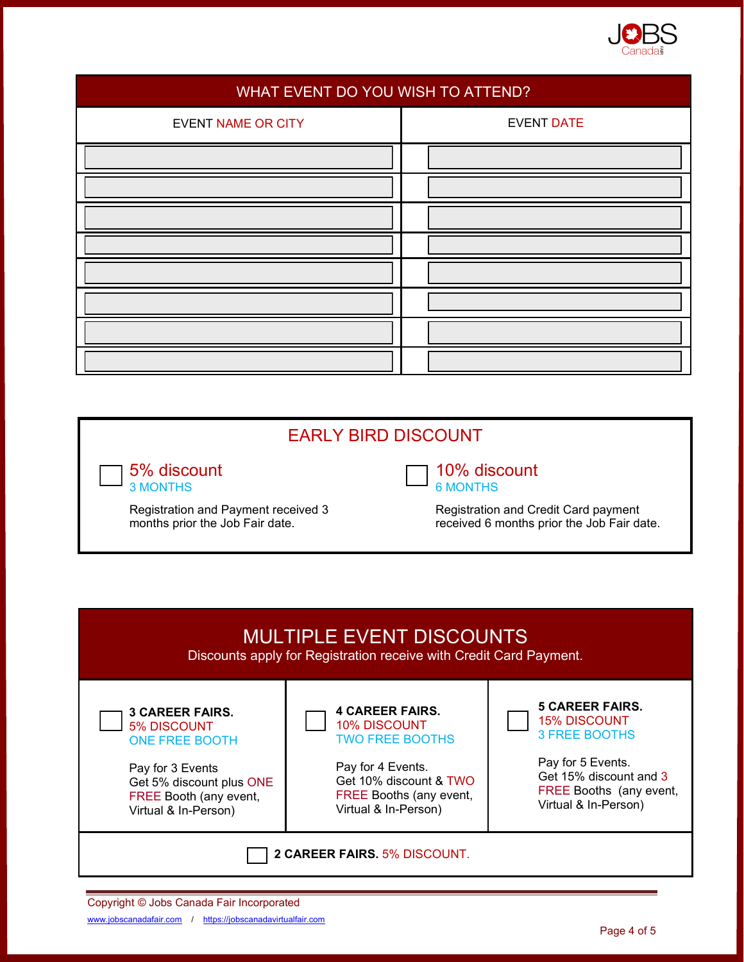

| WHAT EVENT DO YOU WISH TO ATTEND? |                   |  |
|-----------------------------------|-------------------|--|
| <b>EVENT NAME OR CITY</b>         | <b>EVENT DATE</b> |  |
|                                   |                   |  |
|                                   |                   |  |
|                                   |                   |  |
|                                   |                   |  |
|                                   |                   |  |
|                                   |                   |  |
|                                   |                   |  |
|                                   |                   |  |

## EARLY BIRD DISCOUNT

5% discount 3 MONTHS

Registration and Payment received 3 months prior the Job Fair date.



6 MONTHS

Registration and Credit Card payment received 6 months prior the Job Fair date.